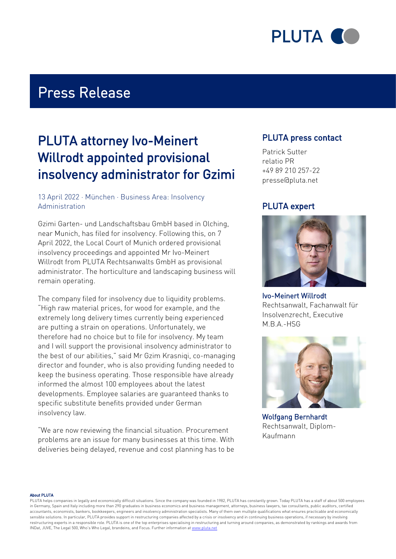

# Press Release

# PLUTA attorney Ivo-Meinert Willrodt appointed provisional insolvency administrator for Gzimi

### 13 April 2022 · München · Business Area: Insolvency Administration

Gzimi Garten- und Landschaftsbau GmbH based in Olching, near Munich, has filed for insolvency. Following this, on 7 April 2022, the Local Court of Munich ordered provisional insolvency proceedings and appointed Mr Ivo-Meinert Willrodt from PLUTA Rechtsanwalts GmbH as provisional administrator. The horticulture and landscaping business will remain operating.

The company filed for insolvency due to liquidity problems. "High raw material prices, for wood for example, and the extremely long delivery times currently being experienced are putting a strain on operations. Unfortunately, we therefore had no choice but to file for insolvency. My team and I will support the provisional insolvency administrator to the best of our abilities," said Mr Gzim Krasniqi, co-managing director and founder, who is also providing funding needed to keep the business operating. Those responsible have already informed the almost 100 employees about the latest developments. Employee salaries are guaranteed thanks to specific substitute benefits provided under German insolvency law.

"We are now reviewing the financial situation. Procurement problems are an issue for many businesses at this time. With deliveries being delayed, revenue and cost planning has to be

### PLUTA press contact

Patrick Sutter relatio PR +49 89 210 257-22 presse@pluta.net

### PLUTA expert



Ivo-Meinert Willrodt Rechtsanwalt, Fachanwalt für Insolvenzrecht, Executive M.B.A.-HSG



Wolfgang Bernhardt Rechtsanwalt, Diplom-Kaufmann

#### About PLUTA

PLUTA helps companies in legally and economically difficult situations. Since the company was founded in 1982, PLUTA has constantly grown. Today PLUTA has a staff of about 500 employees in Germany, Spain and Italy including more than 290 graduates in business economics and business management, attorneys, business lawyers, tax consultants, public auditors, certified accountants, economists, bankers, bookkeepers, engineers and insolvency administration specialists. Many of them own multiple qualifications what ensures practicable and economically sensible solutions. In particular, PLUTA provides support in restructuring companies affected by a crisis or insolvency and in continuing business operations, if necessary by involving restructuring experts in a responsible role. PLUTA is one of the top enterprises specialising in restructuring and turning around companies, as demonstrated by rankings and awards from INDat, JUVE, The Legal 500, Who's Who Legal, brandeins, and Focus. Further information at [www.pluta.net](https:/www.pluta.net/en)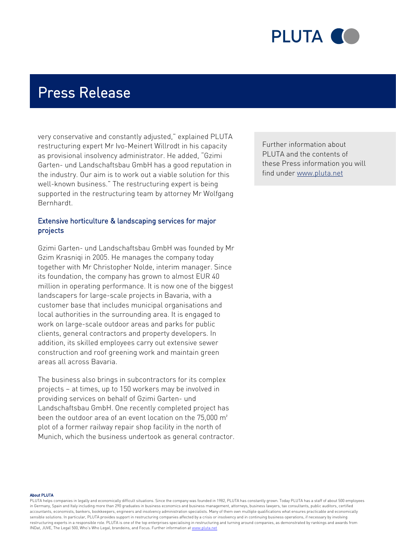

# Press Release

very conservative and constantly adjusted," explained PLUTA restructuring expert Mr Ivo-Meinert Willrodt in his capacity as provisional insolvency administrator. He added, "Gzimi Garten- und Landschaftsbau GmbH has a good reputation in the industry. Our aim is to work out a viable solution for this well-known business." The restructuring expert is being supported in the restructuring team by attorney Mr Wolfgang Bernhardt.

### Extensive horticulture & landscaping services for major projects

Gzimi Garten- und Landschaftsbau GmbH was founded by Mr Gzim Krasniqi in 2005. He manages the company today together with Mr Christopher Nolde, interim manager. Since its foundation, the company has grown to almost EUR 40 million in operating performance. It is now one of the biggest landscapers for large-scale projects in Bavaria, with a customer base that includes municipal organisations and local authorities in the surrounding area. It is engaged to work on large-scale outdoor areas and parks for public clients, general contractors and property developers. In addition, its skilled employees carry out extensive sewer construction and roof greening work and maintain green areas all across Bavaria.

The business also brings in subcontractors for its complex projects – at times, up to 150 workers may be involved in providing services on behalf of Gzimi Garten- und Landschaftsbau GmbH. One recently completed project has been the outdoor area of an event location on the 75,000 m<sup>2</sup> plot of a former railway repair shop facility in the north of Munich, which the business undertook as general contractor. Further information about PLUTA and the contents of these Press information you will find under [www.pluta.net](https://www.pluta.net)

#### About PLUTA

PLUTA helps companies in legally and economically difficult situations. Since the company was founded in 1982, PLUTA has constantly grown. Today PLUTA has a staff of about 500 employees in Germany, Spain and Italy including more than 290 graduates in business economics and business management, attorneys, business lawyers, tax consultants, public auditors, certified accountants, economists, bankers, bookkeepers, engineers and insolvency administration specialists. Many of them own multiple qualifications what ensures practicable and economically sensible solutions. In particular, PLUTA provides support in restructuring companies affected by a crisis or insolvency and in continuing business operations, if necessary by involving restructuring experts in a responsible role. PLUTA is one of the top enterprises specialising in restructuring and turning around companies, as demonstrated by rankings and awards from INDat, JUVE, The Legal 500, Who's Who Legal, brandeins, and Focus. Further information at [www.pluta.net](https:/www.pluta.net/en)